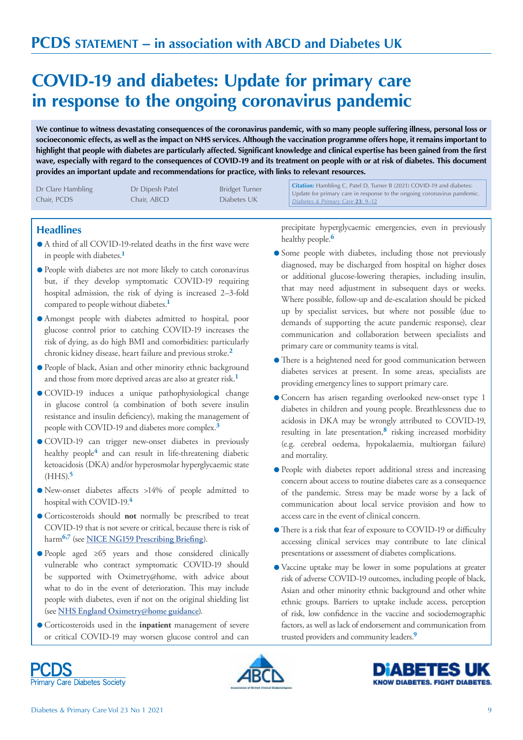# **COVID-19 and diabetes: Update for primary care in response to the ongoing coronavirus pandemic**

**We continue to witness devastating consequences of the coronavirus pandemic, with so many people suffering illness, personal loss or socioeconomic effects, as well as the impact on NHS services. Although the vaccination programme offers hope, it remains important to highlight that people with diabetes are particularly affected. Significant knowledge and clinical expertise has been gained from the first wave, especially with regard to the consequences of COVID-19 and its treatment on people with or at risk of diabetes. This document provides an important update and recommendations for practice, with links to relevant resources.**

| Dr Clare Hambling<br>Chair, PCDS | Dr Dipesh Patel<br>Chair, ABCD . | <b>Bridget Turner</b><br>Diabetes UK | Citation: Hambling C, Patel D, Turner B (2021) COVID-19 and diabetes:<br>Update for primary care in response to the ongoing coronavirus pandemic.<br>Diabetes & Primary Care 23: 9-12 |
|----------------------------------|----------------------------------|--------------------------------------|---------------------------------------------------------------------------------------------------------------------------------------------------------------------------------------|
|----------------------------------|----------------------------------|--------------------------------------|---------------------------------------------------------------------------------------------------------------------------------------------------------------------------------------|

### **Headlines**

- A third of all COVID-19-related deaths in the first wave were in people with diabetes.**<sup>1</sup>**
- l People with diabetes are not more likely to catch coronavirus but, if they develop symptomatic COVID-19 requiring hospital admission, the risk of dying is increased 2–3-fold compared to people without diabetes.**<sup>1</sup>**
- l Amongst people with diabetes admitted to hospital, poor glucose control prior to catching COVID-19 increases the risk of dying, as do high BMI and comorbidities: particularly chronic kidney disease, heart failure and previous stroke.**<sup>2</sup>**
- l People of black, Asian and other minority ethnic background and those from more deprived areas are also at greater risk.**<sup>1</sup>**
- l COVID-19 induces a unique pathophysiological change in glucose control (a combination of both severe insulin resistance and insulin deficiency), making the management of people with COVID-19 and diabetes more complex.**<sup>3</sup>**
- l COVID-19 can trigger new-onset diabetes in previously healthy people<sup>4</sup> and can result in life-threatening diabetic ketoacidosis (DKA) and/or hyperosmolar hyperglycaemic state (HHS).**<sup>5</sup>**
- l New-onset diabetes affects >14% of people admitted to hospital with COVID-19.**<sup>4</sup>**
- l Corticosteroids should **not** normally be prescribed to treat COVID-19 that is not severe or critical, because there is risk of harm**6,7** (see **[NICE NG159 Prescribing Briefing](https://www.nice.org.uk/guidance/ng159/resources/covid19-prescribing-briefing-corticosteroids-pdf-8839913581)**).
- l People aged ≥65 years and those considered clinically vulnerable who contract symptomatic COVID-19 should be supported with Oximetry@home, with advice about what to do in the event of deterioration. This may include people with diabetes, even if not on the original shielding list (see **[NHS England](https://www.england.nhs.uk/coronavirus/publication/pulse-oximetry-to-detect-early-deterioration-of-patients-with-covid-19-in-primary-and-community-care-settings/) Oximetry@home guidance**).
- l Corticosteroids used in the **inpatient** management of severe or critical COVID-19 may worsen glucose control and can

precipitate hyperglycaemic emergencies, even in previously healthy people.**<sup>6</sup>**

- l Some people with diabetes, including those not previously diagnosed, may be discharged from hospital on higher doses or additional glucose-lowering therapies, including insulin, that may need adjustment in subsequent days or weeks. Where possible, follow-up and de-escalation should be picked up by specialist services, but where not possible (due to demands of supporting the acute pandemic response), clear communication and collaboration between specialists and primary care or community teams is vital.
- l There is a heightened need for good communication between diabetes services at present. In some areas, specialists are providing emergency lines to support primary care.
- l Concern has arisen regarding overlooked new-onset type 1 diabetes in children and young people. Breathlessness due to acidosis in DKA may be wrongly attributed to COVID-19, resulting in late presentation,**8** risking increased morbidity (e.g. cerebral oedema, hypokalaemia, multiorgan failure) and mortality.
- l People with diabetes report additional stress and increasing concern about access to routine diabetes care as a consequence of the pandemic. Stress may be made worse by a lack of communication about local service provision and how to access care in the event of clinical concern.
- l There is a risk that fear of exposure to COVID-19 or difficulty accessing clinical services may contribute to late clinical presentations or assessment of diabetes complications.
- l Vaccine uptake may be lower in some populations at greater risk of adverse COVID-19 outcomes, including people of black, Asian and other minority ethnic background and other white ethnic groups. Barriers to uptake include access, perception of risk, low confidence in the vaccine and sociodemographic factors, as well as lack of endorsement and communication from trusted providers and community leaders.**<sup>9</sup>**





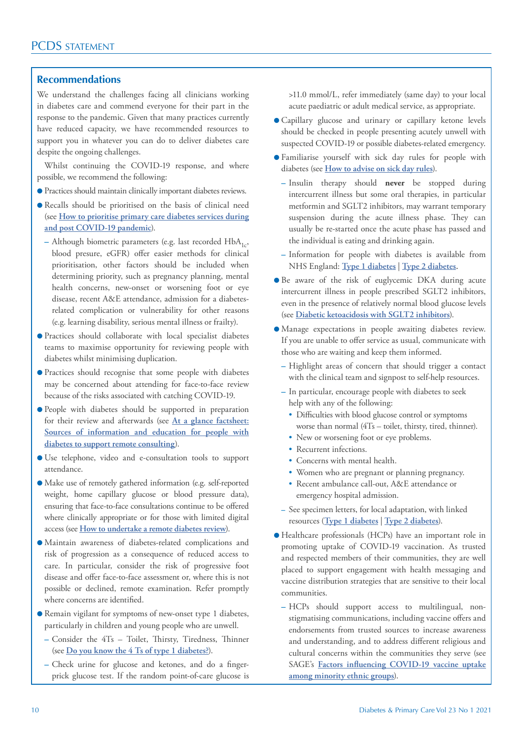### **Recommendations**

We understand the challenges facing all clinicians working in diabetes care and commend everyone for their part in the response to the pandemic. Given that many practices currently have reduced capacity, we have recommended resources to support you in whatever you can do to deliver diabetes care despite the ongoing challenges.

Whilst continuing the COVID-19 response, and where possible, we recommend the following:

- l Practices should maintain clinically important diabetes reviews.
- l Recalls should be prioritised on the basis of clinical need (see **[How to prioritise primary care diabetes services during](https://www.diabetesonthenet.com/journals/issue/620/article-details/how-prioritise-primary-care-diabetes-services-during-and-post-covid-19-pandemic) [and post COVID-19 pandemic](https://www.diabetesonthenet.com/journals/issue/620/article-details/how-prioritise-primary-care-diabetes-services-during-and-post-covid-19-pandemic)**).
	- **–** Although biometric parameters (e.g. last recorded HbA<sub>1c</sub>, blood presure, eGFR) offer easier methods for clinical prioritisation, other factors should be included when determining priority, such as pregnancy planning, mental health concerns, new-onset or worsening foot or eye disease, recent A&E attendance, admission for a diabetesrelated complication or vulnerability for other reasons (e.g. learning disability, serious mental illness or frailty).
- l Practices should collaborate with local specialist diabetes teams to maximise opportunity for reviewing people with diabetes whilst minimising duplication.
- l Practices should recognise that some people with diabetes may be concerned about attending for face-to-face review because of the risks associated with catching COVID-19.
- l People with diabetes should be supported in preparation for their review and afterwards (see **[At a glance factsheet:](https://www.diabetesonthenet.com/journals/issue/617/article-details/glance-factsheet-sources-information-and-education-people-diabetes-support-remote-consulting) [Sources of information and education for people with](https://www.diabetesonthenet.com/journals/issue/617/article-details/glance-factsheet-sources-information-and-education-people-diabetes-support-remote-consulting) [diabetes to support remote consulting](https://www.diabetesonthenet.com/journals/issue/617/article-details/glance-factsheet-sources-information-and-education-people-diabetes-support-remote-consulting)**).
- l Use telephone, video and e-consultation tools to support attendance.
- l Make use of remotely gathered information (e.g. self-reported weight, home capillary glucose or blood pressure data), ensuring that face-to-face consultations continue to be offered where clinically appropriate or for those with limited digital access (see **[How to undertake a remote diabetes review](https://www.diabetesonthenet.com/journals/issue/612/article-details/how-undertake-remote-diabetes-review)**).
- l Maintain awareness of diabetes-related complications and risk of progression as a consequence of reduced access to care. In particular, consider the risk of progressive foot disease and offer face-to-face assessment or, where this is not possible or declined, remote examination. Refer promptly where concerns are identified.
- l Remain vigilant for symptoms of new-onset type 1 diabetes, particularly in children and young people who are unwell.
	- **–** Consider the 4Ts Toilet, Thirsty, Tiredness, Thinner (see **[Do you know the 4 Ts of type 1 diabetes?](https://www.diabetes.org.uk/get_involved/campaigning/4-ts-campaign)**).
	- **–** Check urine for glucose and ketones, and do a fingerprick glucose test. If the random point-of-care glucose is

>11.0 mmol/L, refer immediately (same day) to your local acute paediatric or adult medical service, as appropriate.

- l Capillary glucose and urinary or capillary ketone levels should be checked in people presenting acutely unwell with suspected COVID-19 or possible diabetes-related emergency.
- l Familiarise yourself with sick day rules for people with diabetes (see **[How to advise on sick day rules](https://www.diabetesonthenet.com/journals/issue/612/article-details/how-to-advise-on-sick-day-rules)**).
	- **–** Insulin therapy should **never** be stopped during intercurrent illness but some oral therapies, in particular metformin and SGLT2 inhibitors, may warrant temporary suspension during the acute illness phase. They can usually be re-started once the acute phase has passed and the individual is eating and drinking again.
	- **–** Information for people with diabetes is available from NHS England: **[Type 1 diabetes](https://www.england.nhs.uk/london/wp-content/uploads/sites/8/2020/04/2.-Covid-19-Diabetes-Sick-Day-Rules-Type-1-MDI-06042020.pdf)** | **[Type 2 diabetes](https://www.england.nhs.uk/london/wp-content/uploads/sites/8/2020/04/3.-Covid-19-Type-2-Sick-Day-Rules-Crib-Sheet-06042020.pdf).**
- l Be aware of the risk of euglycemic DKA during acute intercurrent illness in people prescribed SGLT2 inhibitors, even in the presence of relatively normal blood glucose levels (see **[Diabetic ketoacidosis with SGLT2 inhibitors](https://www.diabetesonthenet.com/journals/issue/626/article-details/diabetes-distilled-diabetic-ketoacidosis-with-sglt2-inhibitors)**).
- l Manage expectations in people awaiting diabetes review. If you are unable to offer service as usual, communicate with those who are waiting and keep them informed.
	- **–** Highlight areas of concern that should trigger a contact with the clinical team and signpost to self-help resources.
	- **–** In particular, encourage people with diabetes to seek help with any of the following:
		- Difficulties with blood glucose control or symptoms worse than normal (4Ts – toilet, thirsty, tired, thinner).
		- New or worsening foot or eye problems.
		- Recurrent infections.
		- Concerns with mental health.
		- Women who are pregnant or planning pregnancy.
		- Recent ambulance call-out, A&E attendance or emergency hospital admission.
	- **–** See specimen letters, for local adaptation, with linked resources (**[Type 1 diabetes](https://www.dropbox.com/s/htqm0ziov83hlcv/Specimen%20letter%20from%20practices%20for%20people%20with%20type%201%20diabetes.docx?dl=0)** | **[Type 2 diabetes](https://www.dropbox.com/s/wx6i5qsgyp62qsg/Specimen%20letter%20from%20practices%20to%20people%20with%20type%202%20diabetes.docx?dl=0)**).
- l Healthcare professionals (HCPs) have an important role in promoting uptake of COVID-19 vaccination. As trusted and respected members of their communities, they are well placed to support engagement with health messaging and vaccine distribution strategies that are sensitive to their local communities.
	- **–** HCPs should support access to multilingual, nonstigmatising communications, including vaccine offers and endorsements from trusted sources to increase awareness and understanding, and to address different religious and cultural concerns within the communities they serve (see SAGE's **[Factors influencing COVID-19 vaccine uptake](https://www.gov.uk/government/publications/factors-influencing-covid-19-vaccine-uptake-among-minority-ethnic-groups-17-december-2020) [among minority ethnic groups](https://www.gov.uk/government/publications/factors-influencing-covid-19-vaccine-uptake-among-minority-ethnic-groups-17-december-2020)**).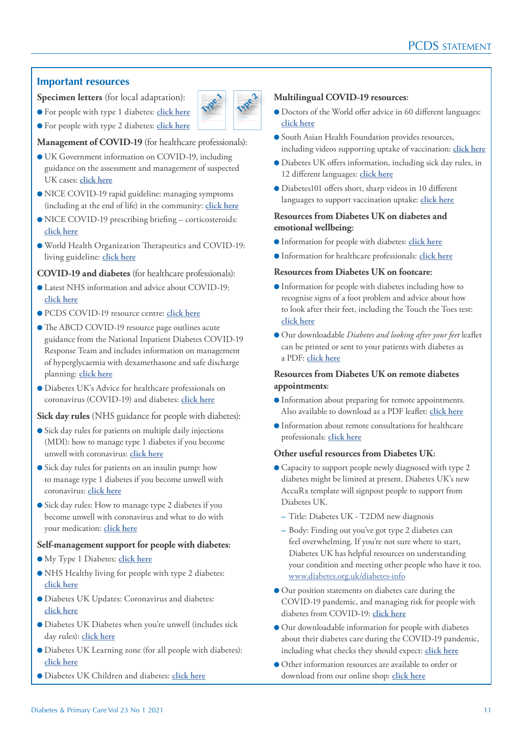## **Important resources**

**Specimen letters** (for local adaptation):

l For people with type 1 diabetes: **[click here](https://www.dropbox.com/s/htqm0ziov83hlcv/Specimen%20letter%20from%20practices%20for%20people%20with%20type%201%20diabetes.docx?dl=0)** Unfortunately, this means that some people may need to wait much longer than usual for their In order to ensure that we can look after everyone fairly and safely, NHS England has recommended that we organise our appointments differently, to ensure that the people we are most concerned If you are awaiting a diabetes review, either from the surgery or from your diabetes team at (insert name of diabetes service) or elsewhere and are concerned about your diabetes, please call us to let us known you to discuss you to diabete for a doctor to discuss you to discuss you to discuss you need and decide whether or not you need and decide whether or not you need and decide whether approximately approximately app keen to hear from you if you are concerned about any of the following: • difficulties with blood sugar control or diabetes symptoms worse than normal for you  $-$  to this discussed the 4Ts  $\sim$  and  $\sim$  worsening foot or  $\sim$  $\sim$  recursions



**Management of COVID-19** (for healthcare professionals):

- l UK Government information on COVID-19, including guidance on the assessment and management of suspected UK cases: **[click here](https://www.gov.uk/government/collections/wuhan-novel-coronavirus)**
- NICE COVID-19 rapid guideline: managing symptoms (including at the end of life) in the community: **[click here](https://www.nice.org.uk/guidance/ng163)**
- l NICE COVID-19 prescribing briefing corticosteroids: **[click here](https://www.nice.org.uk/guidance/ng159/resources/covid19-prescribing-briefing-corticosteroids-pdf-8839913581)**
- l World Health Organization Therapeutics and COVID-19: living guideline: **[click here](https://www.who.int/publications/i/item/therapeutics-and-covid-19-living-guideline)**

### **COVID-19 and diabetes** (for healthcare professionals):

- l Latest NHS information and advice about COVID-19: **[click here](https://www.nhs.uk/conditions/coronavirus-covid-19/)**
- l PCDS COVID-19 resource centre: **[click here](https://www.diabetesonthenet.com/covid19-resources)**
- The ABCD COVID-19 resource page outlines acute guidance from the National Inpatient Diabetes COVID-19 Response Team and includes information on management of hyperglycaemia with dexamethasone and safe discharge planning: **[click here](https://abcd.care/coronavirus)**
- l Diabetes UK's Advice for healthcare professionals on coronavirus (COVID-19) and diabetes: **[click here](https://www.diabetes.org.uk/professionals/resources/coronavirus-clinical-guidance)**

**Sick day rules** (NHS guidance for people with diabetes):

- l Sick day rules for patients on multiple daily injections (MDI): how to manage type 1 diabetes if you become unwell with coronavirus: **[click here](https://www.england.nhs.uk/london/wp-content/uploads/sites/8/2020/04/2.-Covid-19-Diabetes-Sick-Day-Rules-Type-1-MDI-06042020.pdf)**
- **.** Sick day rules for patients on an insulin pump: how to manage type 1 diabetes if you become unwell with coronavirus: **[click here](https://www.england.nhs.uk/london/wp-content/uploads/sites/8/2020/04/1.-Covid-19-Diabetes-Sick-Day-Rules-Crib-Sheet-Type-1-Pump-06042020.pdf)**
- Sick day rules: How to manage type 2 diabetes if you become unwell with coronavirus and what to do with your medication: **[click here](https://www.england.nhs.uk/london/wp-content/uploads/sites/8/2020/04/3.-Covid-19-Type-2-Sick-Day-Rules-Crib-Sheet-06042020.pdf)**

### **Self-management support for people with diabetes:**

- l My Type 1 Diabetes: **[click here](https://mytype1diabetes.nhs.uk/)**
- l NHS Healthy living for people with type 2 diabetes: **[click here](https://www.healthyliving.nhs.uk/)**
- l Diabetes UK Updates: Coronavirus and diabetes: **[click here](https://www.diabetes.org.uk/about_us/news/coronavirus)**
- l Diabetes UK Diabetes when you're unwell (includes sick day rules): **[click here](https://www.diabetes.org.uk/guide-to-diabetes/life-with-diabetes/illness)**
- l Diabetes UK Learning zone (for all people with diabetes): **[click here](https://learningzone.diabetes.org.uk/)**
- l Diabetes UK Children and diabetes: **[click here](https://www.diabetes.org.uk/guide-to-diabetes/your-child-and-diabetes)**

### We are writing to every one wanted to update the still are view. We wanted to update you wanted to update you as we continue working to catch up on appointments that have been delayed because of the well as the new had the need for stricter infection control procedures and social distancing, we have had to change the way we are able to provide routine diabetes and review appellers and review appellers. necessary changes are intended to keep both you and our staff as safe as possible, but it does mean that we are not able to see everyone as quickly as would have been possible in the past. We are writing to every one who is still await is still await in the update you wanted to update you wanted to as we continue working tocatch up on appointments that have been delayed because of the As a consequence of ongoing COVID-19 pandemic and the roll out of the vaccination programme, as well as the new had the need for stricter infection control procedures and social distancing, we have had to change the way we are able to provide routine diabetes and review appears and review appears and necessary changes are intended to keep both you and our staff as safe as possible, but it does mean that we are not able to see everyone as quickly as would have been possible in the past. Unfortunately, this means that some people may need to wait much longer than usual for their In order to ensure that we can look after everyone fairly and safely, NHS England has recommended that we organise our appropriate our appropriate our area If you are awaiting a diabetes review, either from the surgery or from your diabetes team at (insert name of diabetes service) or elsewhere and are concerned about your diabetes, please call us to let us know your concern. We can then arrange for a diabetes nurse or a doctor to call you to discuss your concern and decide whether or not you need and an earlier approximation approximation keen to hear from you if you are concerned about any of the following: • difficulties with blood sugar control or diabetes symptoms worse than normal for you (the 4Ts - toilet, thirsty, tiredness and getting thinner)  $\sim$  and the contract or eye problem or expect to the contract or eye problem.  $\sim$  recursions in fact, the contract in While you are awaiting you are awaiting you are aware awaiting the resources are as a please see the NHS and https://www.diabetes.org.uk/type-1-diabetes **[Type 1](https://www.dropbox.com/s/htqm0ziov83hlcv/Specimen%20letter%20from%20practices%20for%20people%20with%20type%201%20diabetes.docx?dl=0) [Type 2](https://www.dropbox.com/s/wx6i5qsgyp62qsg/Specimen%20letter%20from%20practices%20to%20people%20with%20type%202%20diabetes.docx?dl=0)**

- **Multilingual COVID-19 resources:**
- l Doctors of the World offer advice in 60 different languages: **[click here](https://www.doctorsoftheworld.org.uk/coronavirus-information/)**
- **C** South Asian Health Foundation provides resources, including videos supporting uptake of vaccination: **[click here](https://www.sahf.org.uk/covid19)**
- l Diabetes UK offers information, including sick day rules, in 12 different languages: **[click here](https://www.diabetes.org.uk/diabetes-the-basics/information-in-different-languages)**
- l Diabetes101 offers short, sharp videos in 10 different languages to support vaccination uptake: **[click here](https://www.youtube.com/playlist?list=PLb-3FYxetrEjJXgDHUG5a4L90LzZk7HoC)**

### **Resources from Diabetes UK on diabetes and emotional wellbeing:**

- **Information for people with diabetes: [click here](https://www.diabetes.org.uk/guide-to-diabetes/emotions)**
- l Information for healthcare professionals: **[click here](https://www.diabetes.org.uk/professionals/resources/shared-practice/psychological-care)**

### **Resources from Diabetes UK on footcare:**

- l Information for people with diabetes including how to recognise signs of a foot problem and advice about how to look after their feet, including the Touch the Toes test: **[click here](https://www.diabetes.org.uk/guide-to-diabetes/complications/feet/taking-care-of-your-feet)**
- l Our downloadable *Diabetes and looking after your feet* leaflet can be printed or sent to your patients with diabetes as a PDF: **[click here](https://shop.diabetes.org.uk/collections/information-for-you/products/diabetes-and-looking-after-your-feet-1)**

### **Resources from Diabetes UK on remote diabetes appointments:**

- l Information about preparing for remote appointments. Also available to download as a PDF leaflet: **[click here](https://www.diabetes.org.uk/guide-to-diabetes/managing-your-diabetes/preparing-remote-appointments)**
- l Information about remote consultations for healthcare professionals: **[click here](https://www.diabetes.org.uk/professionals/resources/shared-practice/remote-consultations)**

### **Other useful resources from Diabetes UK:**

- l Capacity to support people newly diagnosed with type 2 diabetes might be limited at present. Diabetes UK's new AccuRx template will signpost people to support from Diabetes UK.
	- **–** Title: Diabetes UK T2DM new diagnosis
	- **–** Body: Finding out you've got type 2 diabetes can feel overwhelming. If you're not sure where to start, Diabetes UK has helpful resources on understanding your condition and meeting other people who have it too. [www.diabetes.org.uk/diabetes-info](https://www.diabetes.org.uk/type-2-diabetes)
- l Our position statements on diabetes care during the COVID-19 pandemic, and managing risk for people with diabetes from COVID-19: **[click here](https://www.diabetes.org.uk/professionals/resources/coronavirus-clinical-guidance#clinical-guidance)**
- l Our downloadable information for people with diabetes about their diabetes care during the COVID-19 pandemic, including what checks they should expect: **[click here](https://shop.diabetes.org.uk/collections/information-for-you/products/your-diabetes-care-during-coronavirus)**
- l Other information resources are available to order or download from our online shop: **[click here](https://shop.diabetes.org.uk/collections/information-for-you/products/your-diabetes-care-during-coronavirus)**